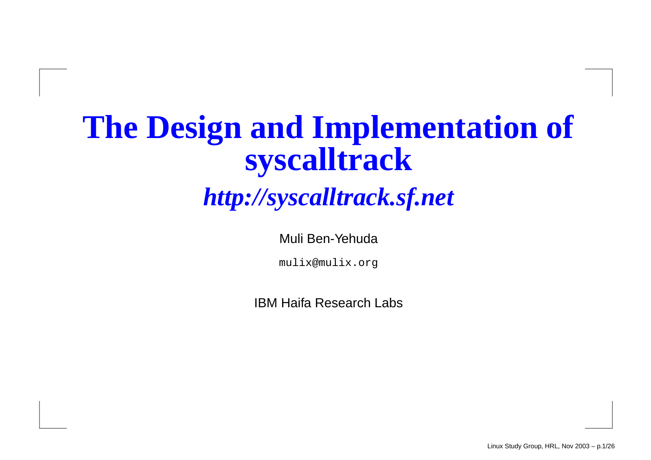#### **The Design and Implementation of syscalltrack**

#### *http://syscalltrack.sf.net*

Muli Ben-Yehuda

mulix@mulix.org

IBM Haifa Research Labs

Linux Study Group, HRL, Nov 2003 – p.1/26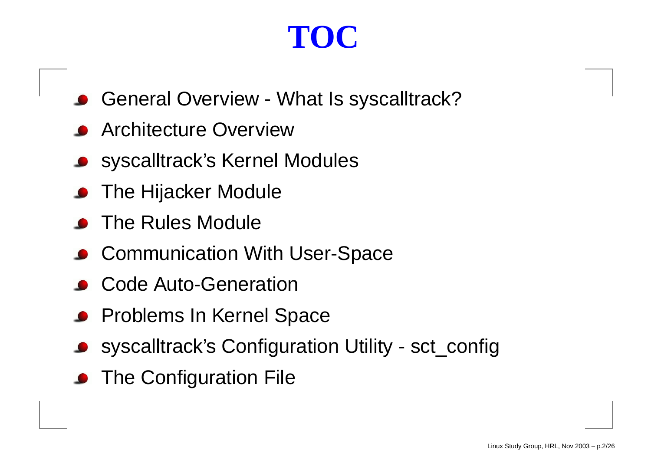# **TOC**

- General Overview What Is syscalltrack?
- Architecture Overview
- syscalltrack's Kernel Modules
- The Hijacker Module
- The Rules Module
- Communication With User-Space
- Code Auto-Generation
- Problems In Kernel Space
- syscalltrack's Configuration Utility sct\_config
- The Configuration File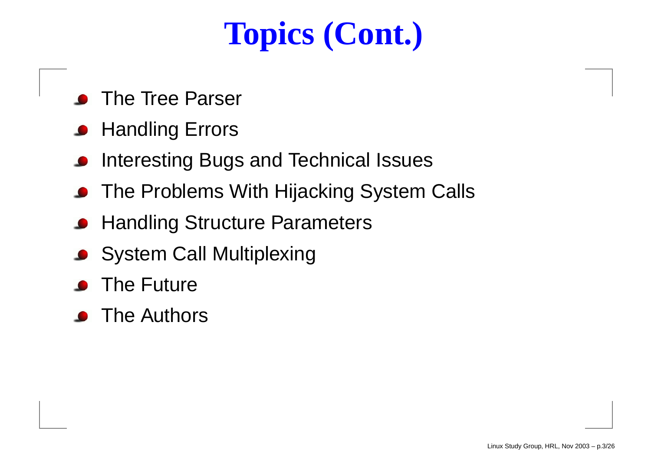# **Topics (Cont.)**

- The Tree Parser
- **Handling Errors**
- Interesting Bugs and Technical Issues
- The Problems With Hijacking System Calls
- **Handling Structure Parameters**
- **System Call Multiplexing**
- The Future
- The Authors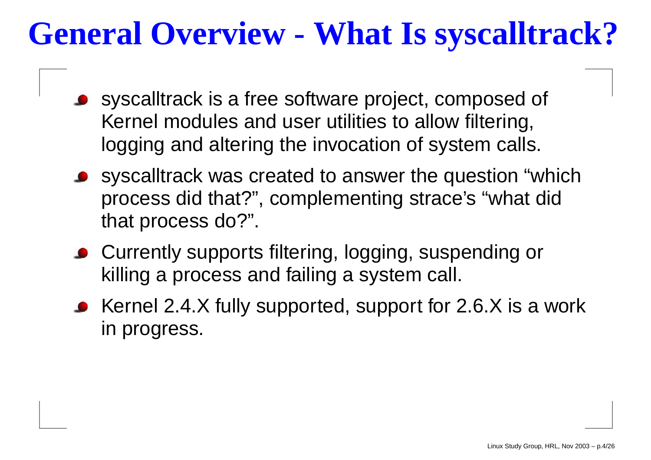# **General Overview - What Is syscalltrack?**

- syscalltrack is <sup>a</sup> free software project, composed of Kernel modules and user utilities to allow filtering, logging and altering the invocation of system calls.
- syscalltrack was created to answer the question "which process did that?", complementing strace's "what did that process do?".
- Currently supports filtering, logging, suspending or killing <sup>a</sup> process and failing <sup>a</sup> system call.
- Kernel 2.4.X fully supported, support for 2.6.X is <sup>a</sup> work in progress.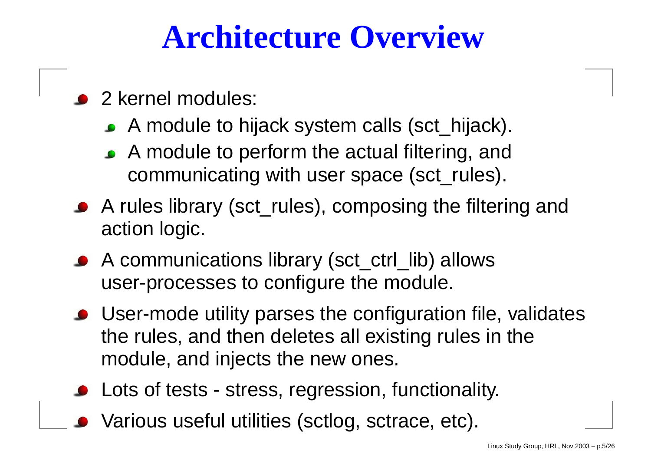#### **Architecture Overview**

- 2 kernel modules:
	- A module to hijack system calls (sct\_hijack).
	- A module to perform the actual filtering, and communicating with user space (sct\_rules).
- A rules library (sct\_rules), composing the filtering and action logic.
- A communications library (sct\_ctrl\_lib) allows user-processes to configure the module.
- User-mode utility parses the configuration file, validates the rules, and then deletes all existing rules in the module, and injects the new ones.
- Lots of tests stress, regression, functionality.
- Various useful utilities (sctlog, sctrace, etc).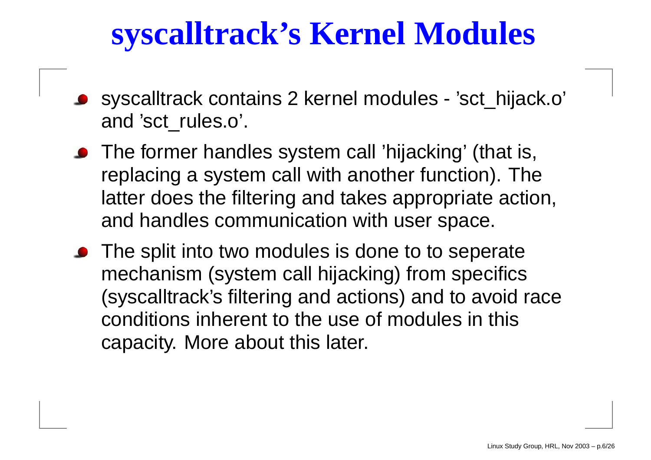#### **syscalltrack's Kernel Modules**

- syscalltrack contains 2 kernel modules 'sct\_hijack.o' and 'sct\_rules.o'.
- The former handles system call 'hijacking' (that is, replacing <sup>a</sup> system call with another function). The latter does the filtering and takes appropriate action, and handles communication with user space.
- The split into two modules is done to to seperate mechanism (system call hijacking) from specifics (syscalltrack's filtering and actions) and to avoid race conditions inherent to the use of modules in this capacity. More about this later.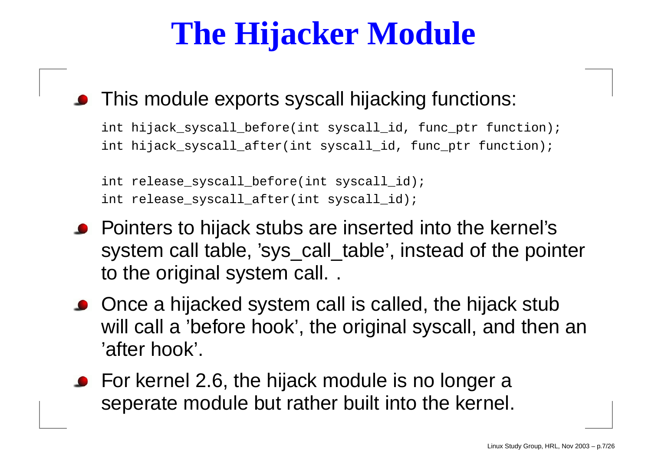# **The Hijacker Module**

#### This module exports syscall hijacking functions:

int hijack\_syscall\_before(int syscall\_id, func\_ptr function); int hijack\_syscall\_after(int syscall\_id, func\_ptr function);

```
int release_syscall_before(int syscall_id);
int release_syscall_after(int syscall_id);
```
- Pointers to hijack stubs are inserted into the kernel's system call table, 'sys\_call\_table', instead of the pointer to the original system call. .
- Once <sup>a</sup> hijacked system call is called, the hijack stub will call a 'before hook', the original syscall, and then an 'after hook'.
- For kernel 2.6, the hijack module is no longer a seperate module but rather built into the kernel.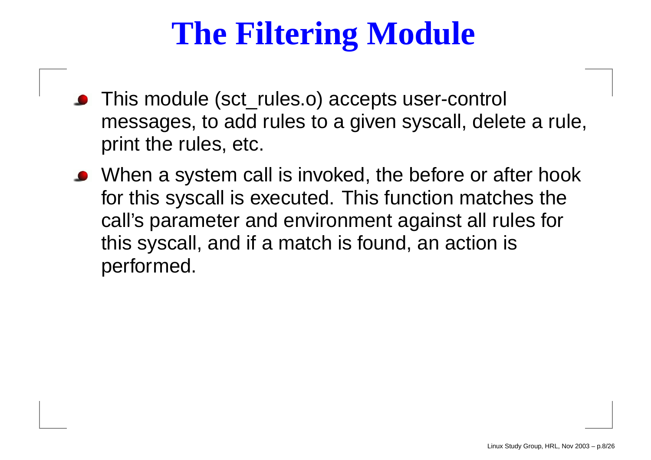# **The Filtering Module**

- This module (sct\_rules.o) accepts user-control messages, to add rules to <sup>a</sup> given syscall, delete <sup>a</sup> rule, print the rules, etc.
- When <sup>a</sup> system call is invoked, the before or after hook for this syscall is executed. This function matches the call's parameter and environment against all rules for this syscall, and if <sup>a</sup> match is found, an action is performed.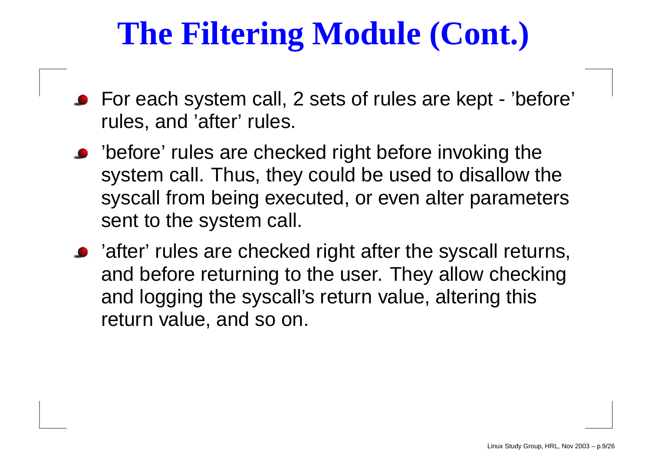# **The Filtering Module (Cont.)**

- For each system call, 2 sets of rules are kept 'before' rules, and 'after' rules.
- 'before' rules are checked right before invoking the system call. Thus, they could be used to disallow the syscall from being executed, or even alter parameters sent to the system call.
- 'after' rules are checked right after the syscall returns, and before returning to the user. They allow checking and logging the syscall's return value, altering this return value, and so on.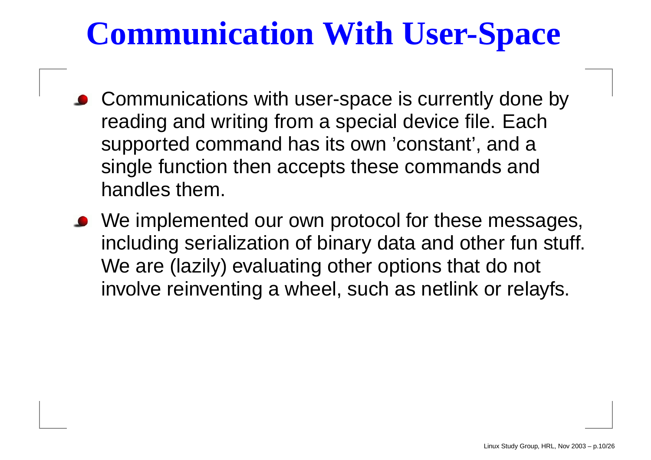# **Communication With User-Space**

- Communications with user-space is currently done by reading and writing from a special device file. Each supported command has its own 'constant', and a single function then accepts these commands and handles them.
- W e implemented our own protocol for these messages, including serialization of binar y data and other fun stuff. We are (lazily) evaluating other options that do not involve reinventing a wheel, such as netlink or relayfs.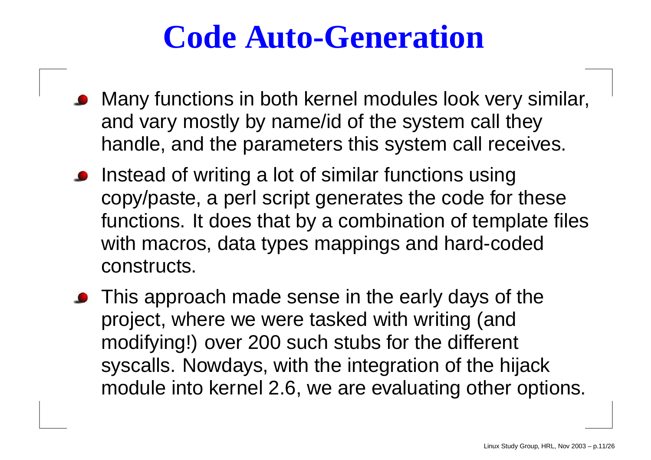### **Code Auto-Generation**

- Many functions in both kernel modules look very similar, and vary mostly by name/id of the system call they handle, and the parameters this system call receives.
- Instead of writing <sup>a</sup> lot of similar functions using copy/paste, <sup>a</sup> perl script generates the code for these functions. It does that by <sup>a</sup> combination of template files with macros, data types mappings and hard-coded constructs.
- This approach made sense in the early days of the project, where we were tasked with writing (and modifying!) over 200 such stubs for the different syscalls. Nowdays, with the integration of the hijack module into kernel 2.6, we are evaluating other options.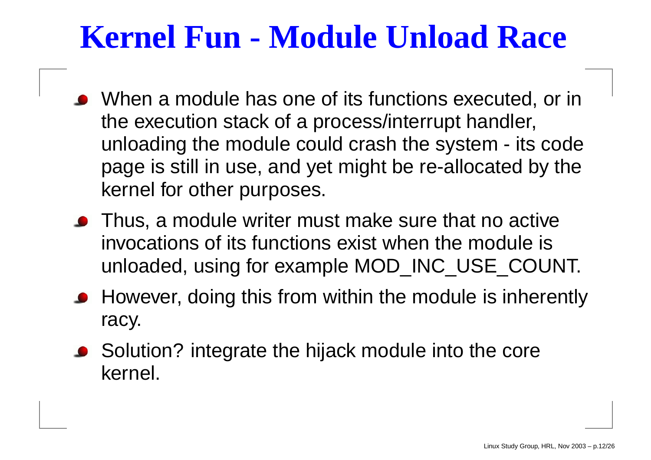## **Kernel Fun - Module Unload Race**

- When <sup>a</sup> module has one of its functions executed, or in the execution stack of <sup>a</sup> process/interrupt handler, unloading the module could crash the system - its code page is still in use, and yet might be re-allocated by the kernel for other purposes.
- **•** Thus, a module writer must make sure that no active invocations of its functions exist when the module is unloaded, using for example MOD\_INC\_USE\_COUNT.
- **However, doing this from within the module is inherently** racy.
- Solution? integrate the hijack module into the core kernel.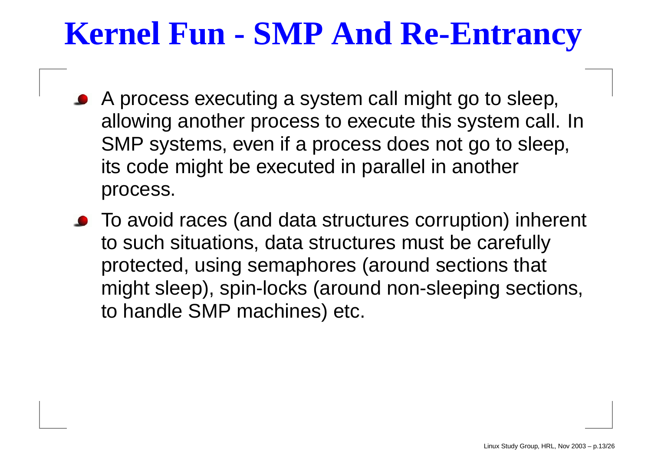#### **Kernel Fun - SMP And Re-Entrancy**

- A process executing <sup>a</sup> system call might go to sleep, allowing another process to execute this system call. In SMP systems, even if <sup>a</sup> process does not go to sleep, its code might be executed in parallel in another process.
- To avoid races (and data structures corruption) inherent to such situations, data structures must be carefully protected, using semaphores (around sections that might sleep), spin-locks (around non-sleeping sections, to handle SMP machines) etc.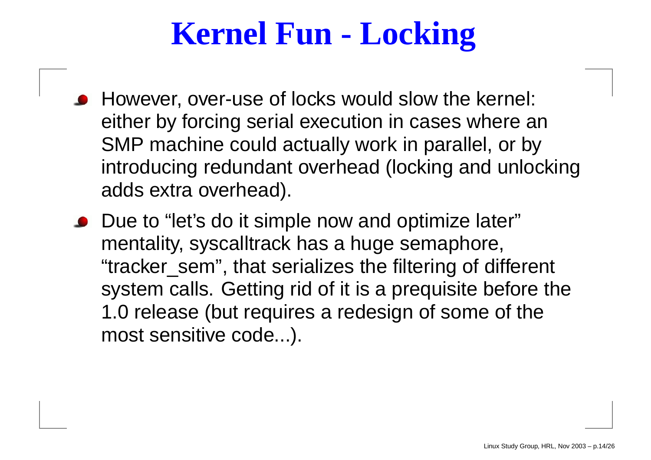## **Kernel Fun - Locking**

- However, over-use of locks would slow the kernel: either by forcing serial execution in cases where an SMP machine could actually work in parallel, or by introducing redundant overhead (locking and unlocking adds extra overhead).
- Due to "let's do it simple now and optimize later" mentality, syscalltrack has <sup>a</sup> huge semaphore, "tracker\_sem", that serializes the filtering of different system calls. Getting rid of it is <sup>a</sup> prequisite before the 1.0 release (but requires <sup>a</sup> redesign of some of the most sensitive code...).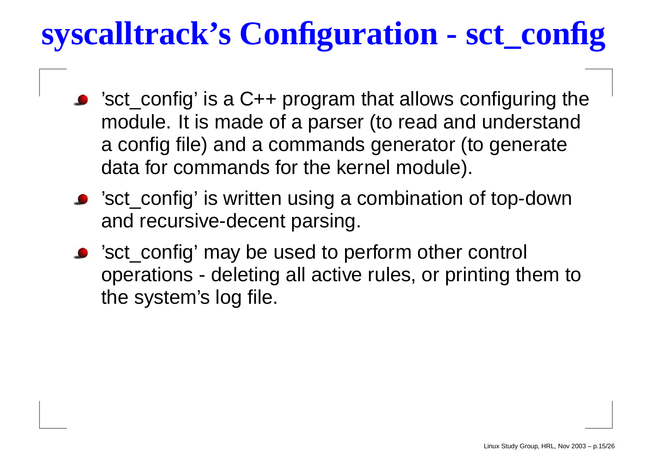# **syscalltrack's Configuration - sct\_config**

- 'sct\_config' is <sup>a</sup> C++ program that allows configuring the module. It is made of <sup>a</sup> parser (to read and understand a config file) and <sup>a</sup> commands generator (to generate data for commands for the kernel module).
- 'sct\_config' is written using <sup>a</sup> combination of top-down and recursive-decent parsing.
- 'sct\_config' may be used to perform other control operations - deleting all active rules, or printing them to the system's log file.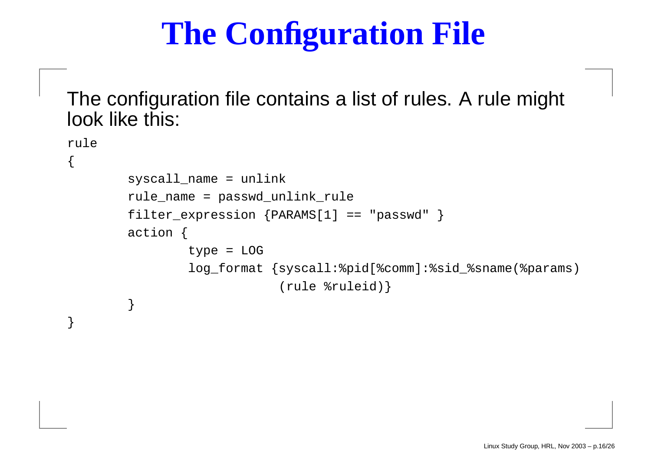# **The Configuration File**

The configuration file contains <sup>a</sup> list of rules. A rule might look like this:

{

}

```
rulesyscall_name = unlink
        rule_name = passwd_unlink_rule
        filter_expression {PARAMS[1] == "passwd" }
        action {
                type = LOG
                log_format {syscall:%pid[%comm]:%sid_%sname(%params)
                             (rule %ruleid)}
        }
```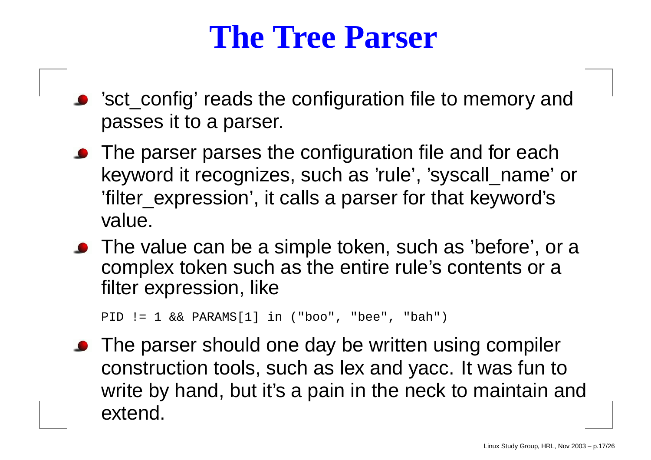#### **The Tree Parser**

- 'sct\_config' reads the configuration file to memory and passes it to <sup>a</sup> parser.
- The parser parses the configuration file and for each keyword it recognizes, such as 'rule', 'syscall\_name' or 'filter\_expression', it calls <sup>a</sup> parser for that keyword's value.
- The value can be <sup>a</sup> simple token, such as 'before', or <sup>a</sup> complex token such as the entire rule's contents or <sup>a</sup> filter expression, like

```
PID != 1 && PARAMS[1] in ("boo", "bee", "bah")
```
The parser should one day be written using compiler construction tools, such as lex and yacc. It was fun to write by hand, but it's <sup>a</sup> pain in the neck to maintain and extend.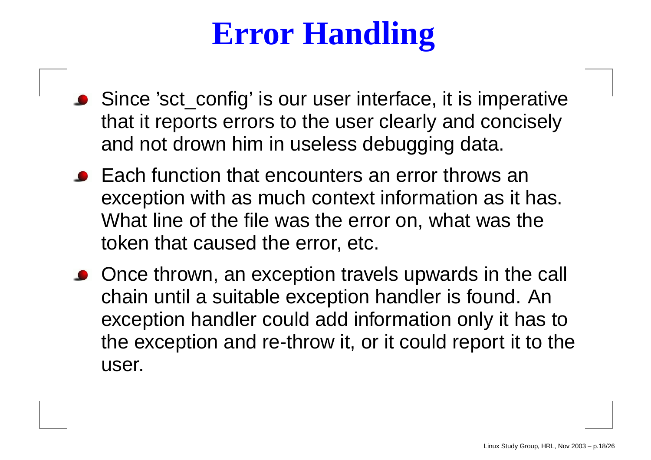# **Error Handling**

- Since 'sct\_config' is our user interface, it is imperative that it reports errors to the user clearly and concisely and not drown him in useless debugging data.
- Each function that encounters an error throws an exception with as much context information as it has. What line of the file was the error on, what was the token that caused the error, etc.
- Once thrown, an exception travels upwards in the call chain until <sup>a</sup> suitable exception handler is found. An exception handler could add information only it has to the exception and re-throw it, or it could report it to the user.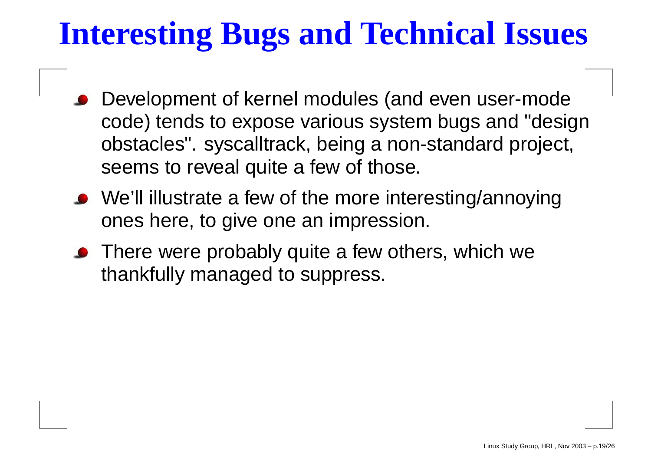# **Interesting Bugs and Technical Issues**

- Development of kernel modules (and even user-mode code) tends to expose various system bugs and "design obstacles". syscalltrack, being <sup>a</sup> non-standard project, seems to reveal quite <sup>a</sup> few of those.
- We'll illustrate a few of the more interesting/annoying ones here, to give one an impression.
- There were probably quite <sup>a</sup> few others, which we thankfully managed to suppress.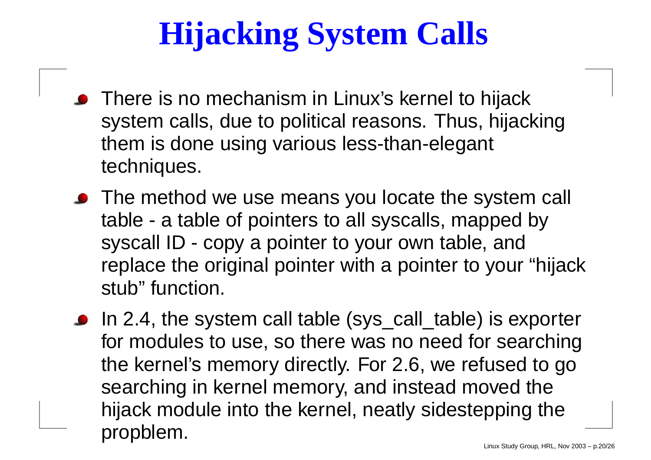# **Hijacking System Calls**

- There is no mechanism in Linux's kernel to hijack system calls, due to political reasons. Thus, hijacking them is done using various less-than-elegant techniques.
- The method we use means you locate the system call table - <sup>a</sup> table of pointers to all syscalls, mapped by syscall ID - copy <sup>a</sup> pointer to your own table, and replace the original pointer with <sup>a</sup> pointer to your "hijack stub" function.
- In 2.4, the system call table (sys\_call\_table) is exporter for modules to use, so there was no need for searching the kernel's memory directly. For 2.6, we refused to go searching in kernel memory, and instead moved the hijack module into the kernel, neatly sidestepping the propblem.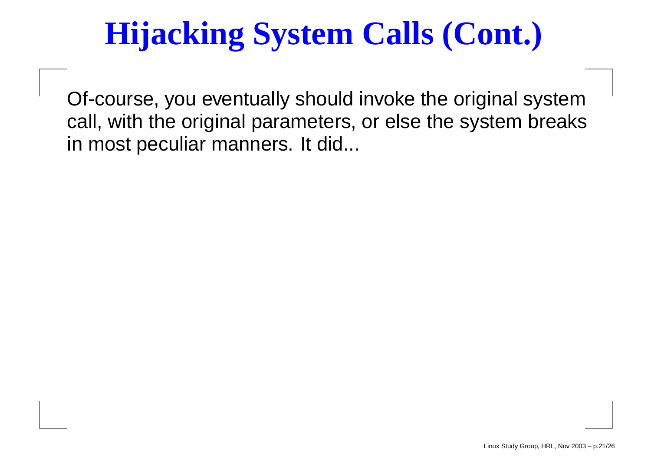# **Hijacking System Calls (Cont.)**

Of-course, you eventually should invoke the original system call, with the original parameters, or else the system breaks in most peculiar manners. It did...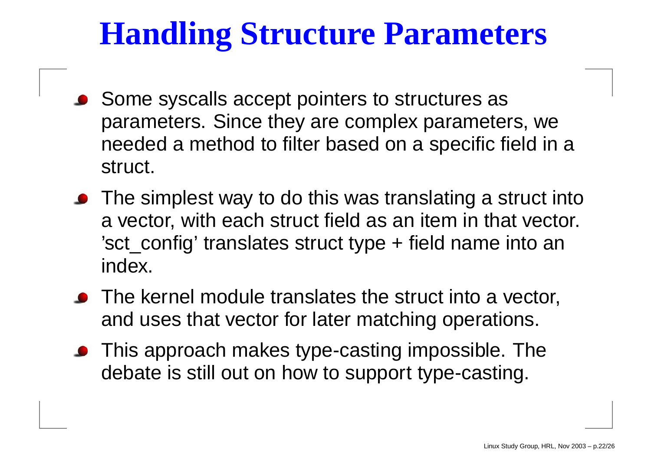## **Handling Structure Parameters**

- Some syscalls accept pointers to structures as parameters. Since they are complex parameters, we needed <sup>a</sup> method to filter based on <sup>a</sup> specific field in <sup>a</sup> struct.
- The simplest way to do this was translating <sup>a</sup> struct into a vector, with each struct field as an item in that vector. 'sct\_config' translates struct type + field name into an index.
- The kernel module translates the struct into <sup>a</sup> vector, and uses that vector for later matching operations.
- This approach makes type-casting impossible. The debate is still out on how to support type-casting.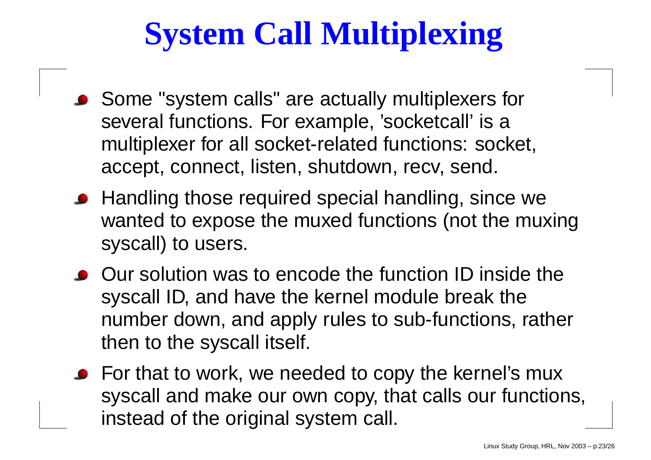# **System Call Multiplexing**

- Some "system calls" are actually multiplexers for several functions. For example, 'socketcall' is <sup>a</sup> multiplexer for all socket-related functions: socket, accept, connect, listen, shutdown, recv, send.
- Handling those required special handling, since we wanted to expose the muxed functions (not the muxing syscall) to users.
- Our solution was to encode the function ID inside the syscall ID, and have the kernel module break the number down, and apply rules to sub-functions, rather then to the syscall itself.
- For that to work, we needed to copy the kernel's mux syscall and make our own copy, that calls our functions, instead of the original system call.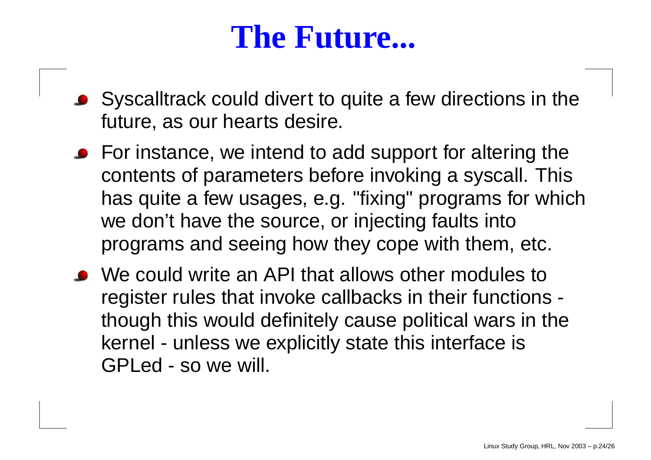#### **The Future...**

- Syscalltrack could divert to quite <sup>a</sup> few directions in the future, as our hearts desire.
- **•** For instance, we intend to add support for altering the contents of parameters before invoking <sup>a</sup> syscall. This has quite <sup>a</sup> few usages, e.g. "fixing" programs for which we don't have the source, or injecting faults into programs and seeing how they cope with them, etc.
- We could write an API that allows other modules to register rules that invoke callbacks in their functions though this would definitely cause political wars in the kernel - unless we explicitly state this interface is GPLed - so we will.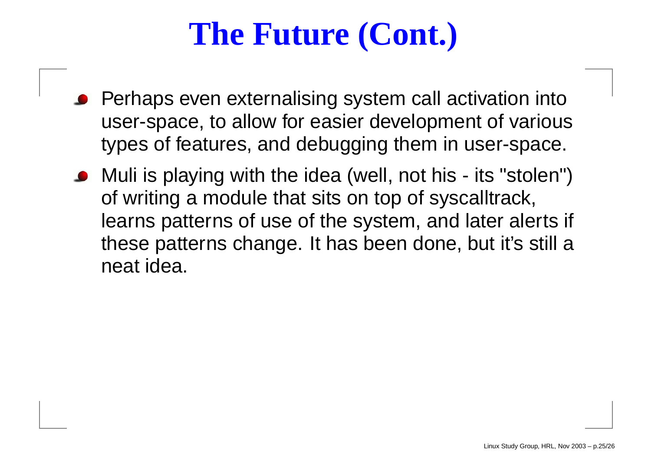# **The Future (Cont.)**

- Perhaps even externalising system call activation into user-space, to allow for easier development of various types of features, and debugging them in user-space.
- Muli is playing with the idea (well, not his its "stolen") of writing <sup>a</sup> module that sits on top of syscalltrack, learns patterns of use of the system, and later alerts if these patterns change. It has been done, but it's still <sup>a</sup> neat idea.